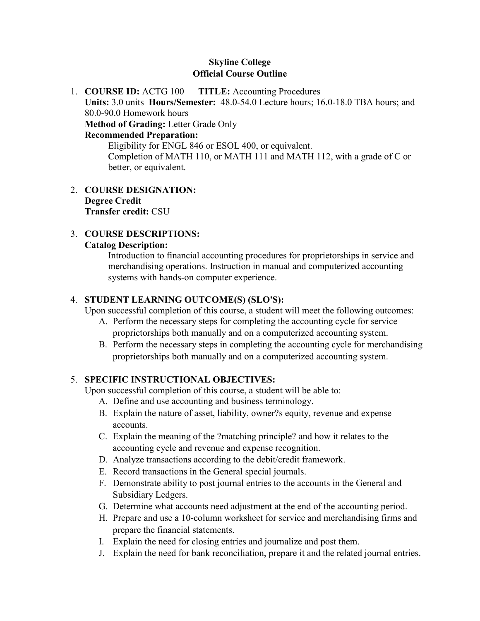## **Skyline College Official Course Outline**

1. **COURSE ID:** ACTG 100 **TITLE:** Accounting Procedures **Units:** 3.0 units **Hours/Semester:** 48.0-54.0 Lecture hours; 16.0-18.0 TBA hours; and 80.0-90.0 Homework hours **Method of Grading:** Letter Grade Only **Recommended Preparation:** Eligibility for ENGL 846 or ESOL 400, or equivalent.

Completion of MATH 110, or MATH 111 and MATH 112, with a grade of C or better, or equivalent.

2. **COURSE DESIGNATION: Degree Credit Transfer credit:** CSU

## 3. **COURSE DESCRIPTIONS:**

#### **Catalog Description:**

Introduction to financial accounting procedures for proprietorships in service and merchandising operations. Instruction in manual and computerized accounting systems with hands-on computer experience.

#### 4. **STUDENT LEARNING OUTCOME(S) (SLO'S):**

Upon successful completion of this course, a student will meet the following outcomes:

- A. Perform the necessary steps for completing the accounting cycle for service proprietorships both manually and on a computerized accounting system.
- B. Perform the necessary steps in completing the accounting cycle for merchandising proprietorships both manually and on a computerized accounting system.

### 5. **SPECIFIC INSTRUCTIONAL OBJECTIVES:**

Upon successful completion of this course, a student will be able to:

- A. Define and use accounting and business terminology.
- B. Explain the nature of asset, liability, owner?s equity, revenue and expense accounts.
- C. Explain the meaning of the ?matching principle? and how it relates to the accounting cycle and revenue and expense recognition.
- D. Analyze transactions according to the debit/credit framework.
- E. Record transactions in the General special journals.
- F. Demonstrate ability to post journal entries to the accounts in the General and Subsidiary Ledgers.
- G. Determine what accounts need adjustment at the end of the accounting period.
- H. Prepare and use a 10-column worksheet for service and merchandising firms and prepare the financial statements.
- I. Explain the need for closing entries and journalize and post them.
- J. Explain the need for bank reconciliation, prepare it and the related journal entries.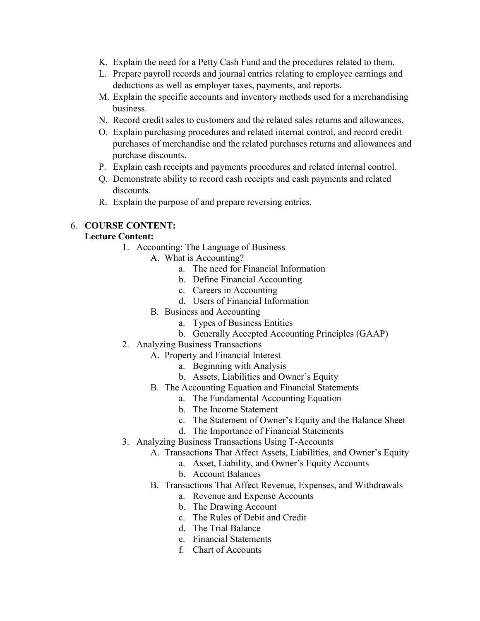- K. Explain the need for a Petty Cash Fund and the procedures related to them.
- L. Prepare payroll records and journal entries relating to employee earnings and deductions as well as employer taxes, payments, and reports.
- M. Explain the specific accounts and inventory methods used for a merchandising business.
- N. Record credit sales to customers and the related sales returns and allowances.
- O. Explain purchasing procedures and related internal control, and record credit purchases of merchandise and the related purchases returns and allowances and purchase discounts.
- P. Explain cash receipts and payments procedures and related internal control.
- Q. Demonstrate ability to record cash receipts and cash payments and related discounts.
- R. Explain the purpose of and prepare reversing entries.

### 6. **COURSE CONTENT:**

#### **Lecture Content:**

- 1. Accounting: The Language of Business
	- A. What is Accounting?
		- a. The need for Financial Information
		- b. Define Financial Accounting
		- c. Careers in Accounting
		- d. Users of Financial Information
		- B. Business and Accounting
			- a. Types of Business Entities
			- b. Generally Accepted Accounting Principles (GAAP)
- 2. Analyzing Business Transactions
	- A. Property and Financial Interest
		- a. Beginning with Analysis
		- b. Assets, Liabilities and Owner's Equity
	- B. The Accounting Equation and Financial Statements
		- a. The Fundamental Accounting Equation
			- b. The Income Statement
			- c. The Statement of Owner's Equity and the Balance Sheet
			- d. The Importance of Financial Statements
- 3. Analyzing Business Transactions Using T-Accounts
	- A. Transactions That Affect Assets, Liabilities, and Owner's Equity
		- a. Asset, Liability, and Owner's Equity Accounts
		- b. Account Balances
	- B. Transactions That Affect Revenue, Expenses, and Withdrawals
		- a. Revenue and Expense Accounts
		- b. The Drawing Account
		- c. The Rules of Debit and Credit
		- d. The Trial Balance
		- e. Financial Statements
		- f. Chart of Accounts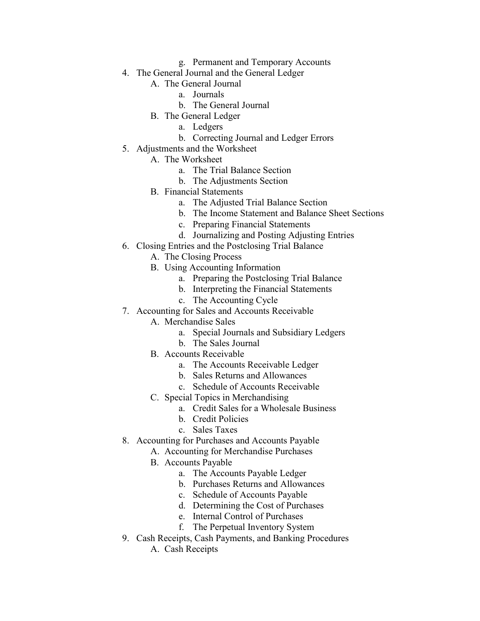- g. Permanent and Temporary Accounts
- 4. The General Journal and the General Ledger
	- A. The General Journal
		- a. Journals
		- b. The General Journal
	- B. The General Ledger
		- a. Ledgers
		- b. Correcting Journal and Ledger Errors
- 5. Adjustments and the Worksheet
	- A. The Worksheet
		- a. The Trial Balance Section
		- b. The Adjustments Section
	- B. Financial Statements
		- a. The Adjusted Trial Balance Section
		- b. The Income Statement and Balance Sheet Sections
		- c. Preparing Financial Statements
		- d. Journalizing and Posting Adjusting Entries
- 6. Closing Entries and the Postclosing Trial Balance
	- A. The Closing Process
	- B. Using Accounting Information
		- a. Preparing the Postclosing Trial Balance
		- b. Interpreting the Financial Statements
		- c. The Accounting Cycle
- 7. Accounting for Sales and Accounts Receivable
	- A. Merchandise Sales
		- a. Special Journals and Subsidiary Ledgers
		- b. The Sales Journal
	- B. Accounts Receivable
		- a. The Accounts Receivable Ledger
		- b. Sales Returns and Allowances
		- c. Schedule of Accounts Receivable
	- C. Special Topics in Merchandising
		- a. Credit Sales for a Wholesale Business
		- b. Credit Policies
		- c. Sales Taxes
- 8. Accounting for Purchases and Accounts Payable
	- A. Accounting for Merchandise Purchases
	- B. Accounts Payable
		- a. The Accounts Payable Ledger
		- b. Purchases Returns and Allowances
		- c. Schedule of Accounts Payable
		- d. Determining the Cost of Purchases
		- e. Internal Control of Purchases
		- f. The Perpetual Inventory System
- 9. Cash Receipts, Cash Payments, and Banking Procedures
	- A. Cash Receipts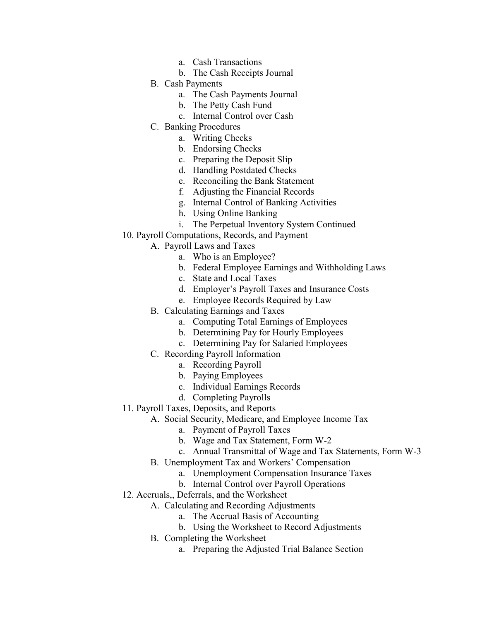- a. Cash Transactions
- b. The Cash Receipts Journal
- B. Cash Payments
	- a. The Cash Payments Journal
	- b. The Petty Cash Fund
	- c. Internal Control over Cash
- C. Banking Procedures
	- a. Writing Checks
	- b. Endorsing Checks
	- c. Preparing the Deposit Slip
	- d. Handling Postdated Checks
	- e. Reconciling the Bank Statement
	- f. Adjusting the Financial Records
	- g. Internal Control of Banking Activities
	- h. Using Online Banking
	- i. The Perpetual Inventory System Continued
- 10. Payroll Computations, Records, and Payment
	- A. Payroll Laws and Taxes
		- a. Who is an Employee?
		- b. Federal Employee Earnings and Withholding Laws
		- c. State and Local Taxes
		- d. Employer's Payroll Taxes and Insurance Costs
		- e. Employee Records Required by Law
	- B. Calculating Earnings and Taxes
		- a. Computing Total Earnings of Employees
		- b. Determining Pay for Hourly Employees
		- c. Determining Pay for Salaried Employees
	- C. Recording Payroll Information
		- a. Recording Payroll
		- b. Paying Employees
		- c. Individual Earnings Records
		- d. Completing Payrolls
- 11. Payroll Taxes, Deposits, and Reports
	- A. Social Security, Medicare, and Employee Income Tax
		- a. Payment of Payroll Taxes
		- b. Wage and Tax Statement, Form W-2
		- c. Annual Transmittal of Wage and Tax Statements, Form W-3
	- B. Unemployment Tax and Workers' Compensation
		- a. Unemployment Compensation Insurance Taxes
		- b. Internal Control over Payroll Operations
- 12. Accruals,, Deferrals, and the Worksheet
	- A. Calculating and Recording Adjustments
		- a. The Accrual Basis of Accounting
		- b. Using the Worksheet to Record Adjustments
	- B. Completing the Worksheet
		- a. Preparing the Adjusted Trial Balance Section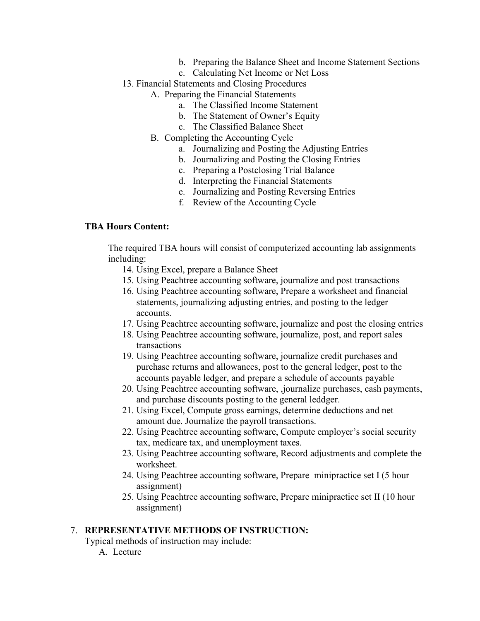- b. Preparing the Balance Sheet and Income Statement Sections
- c. Calculating Net Income or Net Loss
- 13. Financial Statements and Closing Procedures
	- A. Preparing the Financial Statements
		- a. The Classified Income Statement
		- b. The Statement of Owner's Equity
		- c. The Classified Balance Sheet
	- B. Completing the Accounting Cycle
		- a. Journalizing and Posting the Adjusting Entries
		- b. Journalizing and Posting the Closing Entries
		- c. Preparing a Postclosing Trial Balance
		- d. Interpreting the Financial Statements
		- e. Journalizing and Posting Reversing Entries
		- f. Review of the Accounting Cycle

#### **TBA Hours Content:**

The required TBA hours will consist of computerized accounting lab assignments including:

- 14. Using Excel, prepare a Balance Sheet
- 15. Using Peachtree accounting software, journalize and post transactions
- 16. Using Peachtree accounting software, Prepare a worksheet and financial statements, journalizing adjusting entries, and posting to the ledger accounts.
- 17. Using Peachtree accounting software, journalize and post the closing entries
- 18. Using Peachtree accounting software, journalize, post, and report sales transactions
- 19. Using Peachtree accounting software, journalize credit purchases and purchase returns and allowances, post to the general ledger, post to the accounts payable ledger, and prepare a schedule of accounts payable
- 20. Using Peachtree accounting software, ,journalize purchases, cash payments, and purchase discounts posting to the general leddger.
- 21. Using Excel, Compute gross earnings, determine deductions and net amount due. Journalize the payroll transactions.
- 22. Using Peachtree accounting software, Compute employer's social security tax, medicare tax, and unemployment taxes.
- 23. Using Peachtree accounting software, Record adjustments and complete the worksheet.
- 24. Using Peachtree accounting software, Prepare minipractice set I (5 hour assignment)
- 25. Using Peachtree accounting software, Prepare minipractice set II (10 hour assignment)

#### 7. **REPRESENTATIVE METHODS OF INSTRUCTION:**

Typical methods of instruction may include:

A. Lecture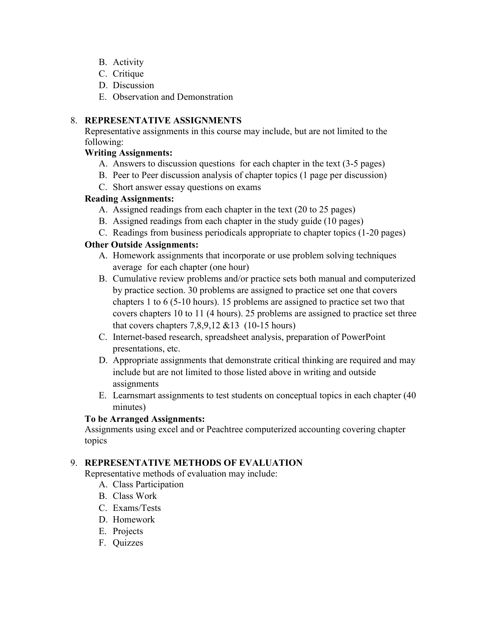- B. Activity
- C. Critique
- D. Discussion
- E. Observation and Demonstration

## 8. **REPRESENTATIVE ASSIGNMENTS**

Representative assignments in this course may include, but are not limited to the following:

## **Writing Assignments:**

- A. Answers to discussion questions for each chapter in the text (3-5 pages)
- B. Peer to Peer discussion analysis of chapter topics (1 page per discussion)
- C. Short answer essay questions on exams

## **Reading Assignments:**

- A. Assigned readings from each chapter in the text (20 to 25 pages)
- B. Assigned readings from each chapter in the study guide (10 pages)
- C. Readings from business periodicals appropriate to chapter topics (1-20 pages)

## **Other Outside Assignments:**

- A. Homework assignments that incorporate or use problem solving techniques average for each chapter (one hour)
- B. Cumulative review problems and/or practice sets both manual and computerized by practice section. 30 problems are assigned to practice set one that covers chapters 1 to 6 (5-10 hours). 15 problems are assigned to practice set two that covers chapters 10 to 11 (4 hours). 25 problems are assigned to practice set three that covers chapters  $7,8,9,12 \& 13$  (10-15 hours)
- C. Internet-based research, spreadsheet analysis, preparation of PowerPoint presentations, etc.
- D. Appropriate assignments that demonstrate critical thinking are required and may include but are not limited to those listed above in writing and outside assignments
- E. Learnsmart assignments to test students on conceptual topics in each chapter (40 minutes)

# **To be Arranged Assignments:**

Assignments using excel and or Peachtree computerized accounting covering chapter topics

# 9. **REPRESENTATIVE METHODS OF EVALUATION**

Representative methods of evaluation may include:

- A. Class Participation
- B. Class Work
- C. Exams/Tests
- D. Homework
- E. Projects
- F. Quizzes